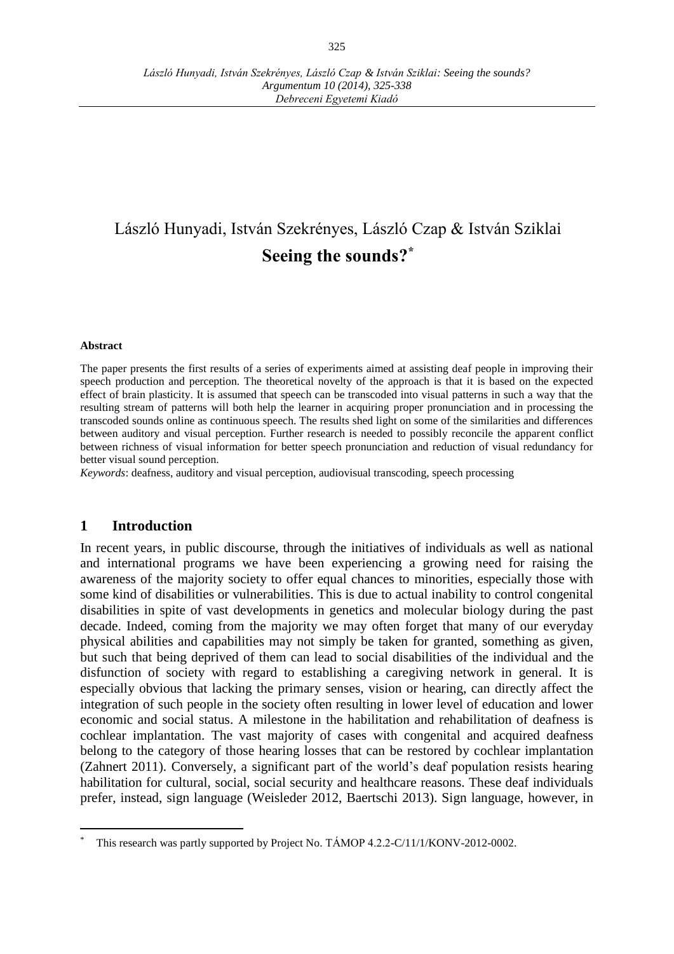# László Hunyadi, István Szekrényes, László Czap & István Sziklai **Seeing the sounds? \***

#### **Abstract**

The paper presents the first results of a series of experiments aimed at assisting deaf people in improving their speech production and perception. The theoretical novelty of the approach is that it is based on the expected effect of brain plasticity. It is assumed that speech can be transcoded into visual patterns in such a way that the resulting stream of patterns will both help the learner in acquiring proper pronunciation and in processing the transcoded sounds online as continuous speech. The results shed light on some of the similarities and differences between auditory and visual perception. Further research is needed to possibly reconcile the apparent conflict between richness of visual information for better speech pronunciation and reduction of visual redundancy for better visual sound perception.

*Keywords*: deafness, auditory and visual perception, audiovisual transcoding, speech processing

## **1 Introduction**

 $\overline{a}$ 

In recent years, in public discourse, through the initiatives of individuals as well as national and international programs we have been experiencing a growing need for raising the awareness of the majority society to offer equal chances to minorities, especially those with some kind of disabilities or vulnerabilities. This is due to actual inability to control congenital disabilities in spite of vast developments in genetics and molecular biology during the past decade. Indeed, coming from the majority we may often forget that many of our everyday physical abilities and capabilities may not simply be taken for granted, something as given, but such that being deprived of them can lead to social disabilities of the individual and the disfunction of society with regard to establishing a caregiving network in general. It is especially obvious that lacking the primary senses, vision or hearing, can directly affect the integration of such people in the society often resulting in lower level of education and lower economic and social status. A milestone in the habilitation and rehabilitation of deafness is cochlear implantation. The vast majority of cases with congenital and acquired deafness belong to the category of those hearing losses that can be restored by cochlear implantation (Zahnert 2011). Conversely, a significant part of the world's deaf population resists hearing habilitation for cultural, social, social security and healthcare reasons. These deaf individuals prefer, instead, sign language (Weisleder 2012, Baertschi 2013). Sign language, however, in

This research was partly supported by Project No. TÁMOP 4.2.2-C/11/1/KONV-2012-0002.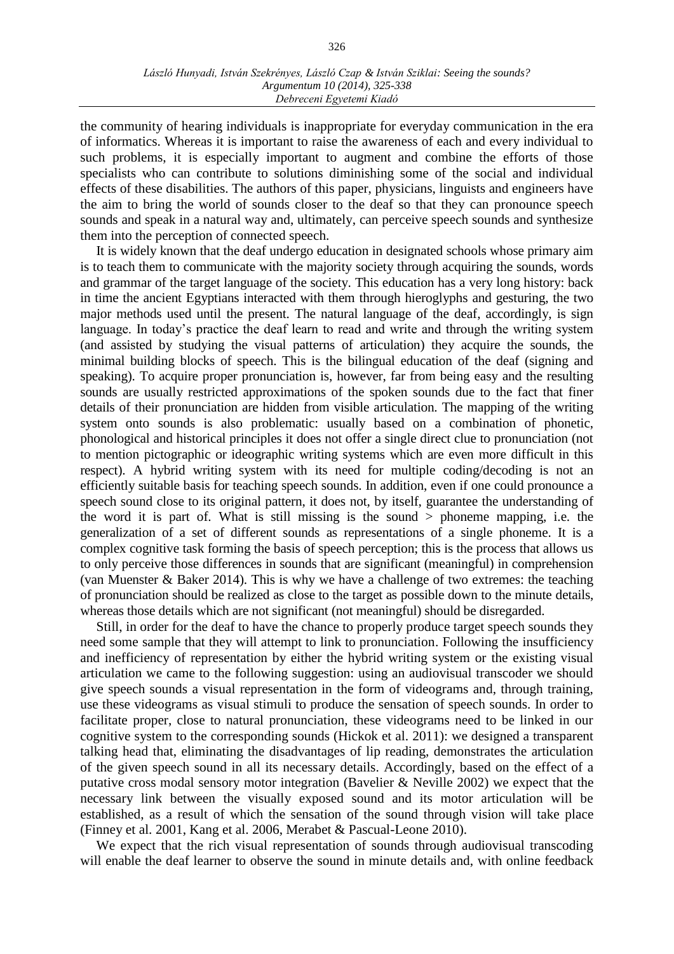the community of hearing individuals is inappropriate for everyday communication in the era of informatics. Whereas it is important to raise the awareness of each and every individual to such problems, it is especially important to augment and combine the efforts of those specialists who can contribute to solutions diminishing some of the social and individual effects of these disabilities. The authors of this paper, physicians, linguists and engineers have the aim to bring the world of sounds closer to the deaf so that they can pronounce speech sounds and speak in a natural way and, ultimately, can perceive speech sounds and synthesize them into the perception of connected speech.

It is widely known that the deaf undergo education in designated schools whose primary aim is to teach them to communicate with the majority society through acquiring the sounds, words and grammar of the target language of the society. This education has a very long history: back in time the ancient Egyptians interacted with them through hieroglyphs and gesturing, the two major methods used until the present. The natural language of the deaf, accordingly, is sign language. In today's practice the deaf learn to read and write and through the writing system (and assisted by studying the visual patterns of articulation) they acquire the sounds, the minimal building blocks of speech. This is the bilingual education of the deaf (signing and speaking). To acquire proper pronunciation is, however, far from being easy and the resulting sounds are usually restricted approximations of the spoken sounds due to the fact that finer details of their pronunciation are hidden from visible articulation. The mapping of the writing system onto sounds is also problematic: usually based on a combination of phonetic, phonological and historical principles it does not offer a single direct clue to pronunciation (not to mention pictographic or ideographic writing systems which are even more difficult in this respect). A hybrid writing system with its need for multiple coding/decoding is not an efficiently suitable basis for teaching speech sounds. In addition, even if one could pronounce a speech sound close to its original pattern, it does not, by itself, guarantee the understanding of the word it is part of. What is still missing is the sound  $>$  phoneme mapping, i.e. the generalization of a set of different sounds as representations of a single phoneme. It is a complex cognitive task forming the basis of speech perception; this is the process that allows us to only perceive those differences in sounds that are significant (meaningful) in comprehension (van Muenster & Baker 2014). This is why we have a challenge of two extremes: the teaching of pronunciation should be realized as close to the target as possible down to the minute details, whereas those details which are not significant (not meaningful) should be disregarded.

Still, in order for the deaf to have the chance to properly produce target speech sounds they need some sample that they will attempt to link to pronunciation. Following the insufficiency and inefficiency of representation by either the hybrid writing system or the existing visual articulation we came to the following suggestion: using an audiovisual transcoder we should give speech sounds a visual representation in the form of videograms and, through training, use these videograms as visual stimuli to produce the sensation of speech sounds. In order to facilitate proper, close to natural pronunciation, these videograms need to be linked in our cognitive system to the corresponding sounds (Hickok et al. 2011): we designed a transparent talking head that, eliminating the disadvantages of lip reading, demonstrates the articulation of the given speech sound in all its necessary details. Accordingly, based on the effect of a putative cross modal sensory motor integration (Bavelier & Neville 2002) we expect that the necessary link between the visually exposed sound and its motor articulation will be established, as a result of which the sensation of the sound through vision will take place (Finney et al. 2001, Kang et al. 2006, Merabet & Pascual-Leone 2010).

We expect that the rich visual representation of sounds through audiovisual transcoding will enable the deaf learner to observe the sound in minute details and, with online feedback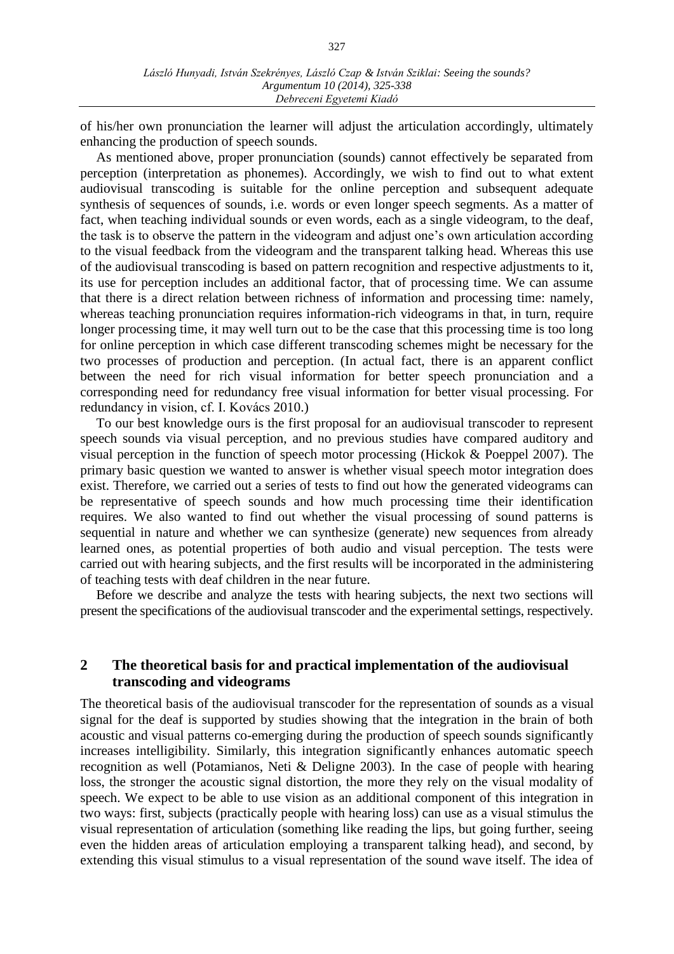of his/her own pronunciation the learner will adjust the articulation accordingly, ultimately enhancing the production of speech sounds.

As mentioned above, proper pronunciation (sounds) cannot effectively be separated from perception (interpretation as phonemes). Accordingly, we wish to find out to what extent audiovisual transcoding is suitable for the online perception and subsequent adequate synthesis of sequences of sounds, i.e. words or even longer speech segments. As a matter of fact, when teaching individual sounds or even words, each as a single videogram, to the deaf, the task is to observe the pattern in the videogram and adjust one's own articulation according to the visual feedback from the videogram and the transparent talking head. Whereas this use of the audiovisual transcoding is based on pattern recognition and respective adjustments to it, its use for perception includes an additional factor, that of processing time. We can assume that there is a direct relation between richness of information and processing time: namely, whereas teaching pronunciation requires information-rich videograms in that, in turn, require longer processing time, it may well turn out to be the case that this processing time is too long for online perception in which case different transcoding schemes might be necessary for the two processes of production and perception. (In actual fact, there is an apparent conflict between the need for rich visual information for better speech pronunciation and a corresponding need for redundancy free visual information for better visual processing. For redundancy in vision, cf. I. Kovács 2010.)

To our best knowledge ours is the first proposal for an audiovisual transcoder to represent speech sounds via visual perception, and no previous studies have compared auditory and visual perception in the function of speech motor processing (Hickok & Poeppel 2007). The primary basic question we wanted to answer is whether visual speech motor integration does exist. Therefore, we carried out a series of tests to find out how the generated videograms can be representative of speech sounds and how much processing time their identification requires. We also wanted to find out whether the visual processing of sound patterns is sequential in nature and whether we can synthesize (generate) new sequences from already learned ones, as potential properties of both audio and visual perception. The tests were carried out with hearing subjects, and the first results will be incorporated in the administering of teaching tests with deaf children in the near future.

Before we describe and analyze the tests with hearing subjects, the next two sections will present the specifications of the audiovisual transcoder and the experimental settings, respectively.

# **2 The theoretical basis for and practical implementation of the audiovisual transcoding and videograms**

The theoretical basis of the audiovisual transcoder for the representation of sounds as a visual signal for the deaf is supported by studies showing that the integration in the brain of both acoustic and visual patterns co-emerging during the production of speech sounds significantly increases intelligibility. Similarly, this integration significantly enhances automatic speech recognition as well (Potamianos, Neti & Deligne 2003). In the case of people with hearing loss, the stronger the acoustic signal distortion, the more they rely on the visual modality of speech. We expect to be able to use vision as an additional component of this integration in two ways: first, subjects (practically people with hearing loss) can use as a visual stimulus the visual representation of articulation (something like reading the lips, but going further, seeing even the hidden areas of articulation employing a transparent talking head), and second, by extending this visual stimulus to a visual representation of the sound wave itself. The idea of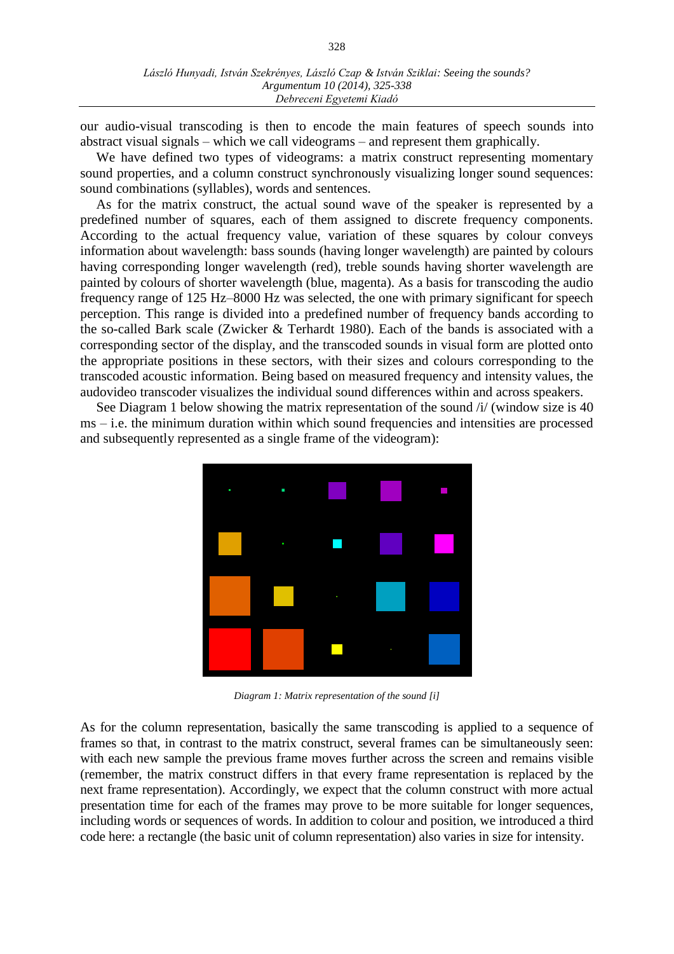our audio-visual transcoding is then to encode the main features of speech sounds into abstract visual signals – which we call videograms – and represent them graphically.

We have defined two types of videograms: a matrix construct representing momentary sound properties, and a column construct synchronously visualizing longer sound sequences: sound combinations (syllables), words and sentences.

As for the matrix construct, the actual sound wave of the speaker is represented by a predefined number of squares, each of them assigned to discrete frequency components. According to the actual frequency value, variation of these squares by colour conveys information about wavelength: bass sounds (having longer wavelength) are painted by colours having corresponding longer wavelength (red), treble sounds having shorter wavelength are painted by colours of shorter wavelength (blue, magenta). As a basis for transcoding the audio frequency range of 125 Hz–8000 Hz was selected, the one with primary significant for speech perception. This range is divided into a predefined number of frequency bands according to the so-called Bark scale (Zwicker & Terhardt 1980). Each of the bands is associated with a corresponding sector of the display, and the transcoded sounds in visual form are plotted onto the appropriate positions in these sectors, with their sizes and colours corresponding to the transcoded acoustic information. Being based on measured frequency and intensity values, the audovideo transcoder visualizes the individual sound differences within and across speakers.

See Diagram 1 below showing the matrix representation of the sound /i/ (window size is 40 ms – i.e. the minimum duration within which sound frequencies and intensities are processed and subsequently represented as a single frame of the videogram):



*Diagram 1: Matrix representation of the sound [i]*

As for the column representation, basically the same transcoding is applied to a sequence of frames so that, in contrast to the matrix construct, several frames can be simultaneously seen: with each new sample the previous frame moves further across the screen and remains visible (remember, the matrix construct differs in that every frame representation is replaced by the next frame representation). Accordingly, we expect that the column construct with more actual presentation time for each of the frames may prove to be more suitable for longer sequences, including words or sequences of words. In addition to colour and position, we introduced a third code here: a rectangle (the basic unit of column representation) also varies in size for intensity.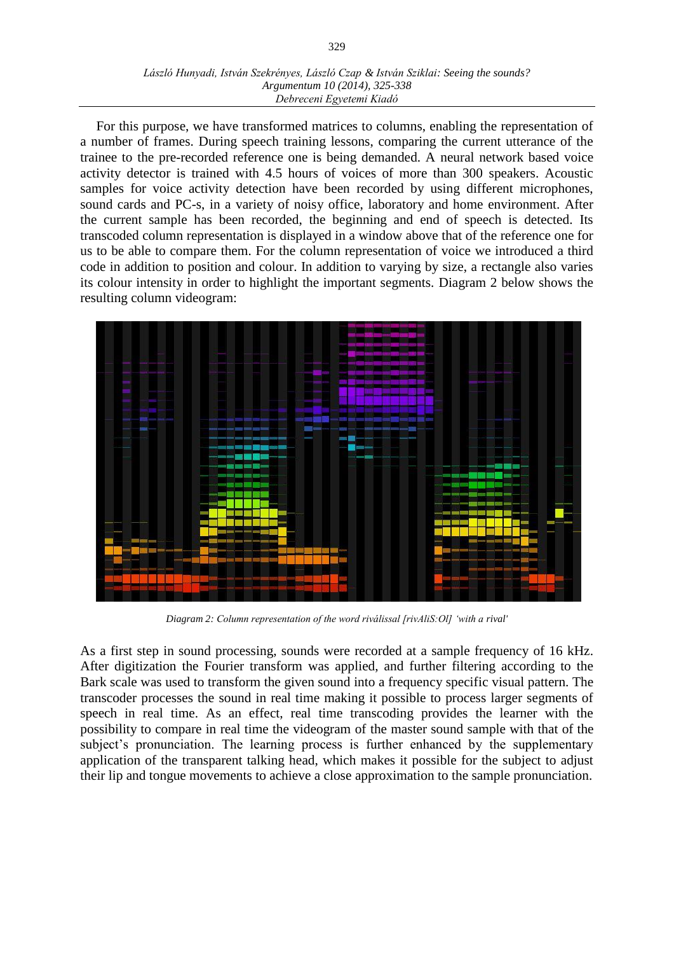#### *László Hunyadi, István Szekrényes, László Czap & István Sziklai: Seeing the sounds? Argumentum 10 (2014), 325-338 Debreceni Egyetemi Kiadó*

For this purpose, we have transformed matrices to columns, enabling the representation of a number of frames. During speech training lessons, comparing the current utterance of the trainee to the pre-recorded reference one is being demanded. A neural network based voice activity detector is trained with 4.5 hours of voices of more than 300 speakers. Acoustic samples for voice activity detection have been recorded by using different microphones, sound cards and PC-s, in a variety of noisy office, laboratory and home environment. After the current sample has been recorded, the beginning and end of speech is detected. Its transcoded column representation is displayed in a window above that of the reference one for us to be able to compare them. For the column representation of voice we introduced a third code in addition to position and colour. In addition to varying by size, a rectangle also varies its colour intensity in order to highlight the important segments. Diagram 2 below shows the resulting column videogram:



*Diagram 2: Column representation of the word riválissal [rivAliS:Ol] 'with a rival'*

As a first step in sound processing, sounds were recorded at a sample frequency of 16 kHz. After digitization the Fourier transform was applied, and further filtering according to the Bark scale was used to transform the given sound into a frequency specific visual pattern. The transcoder processes the sound in real time making it possible to process larger segments of speech in real time. As an effect, real time transcoding provides the learner with the possibility to compare in real time the videogram of the master sound sample with that of the subject's pronunciation. The learning process is further enhanced by the supplementary application of the transparent talking head, which makes it possible for the subject to adjust their lip and tongue movements to achieve a close approximation to the sample pronunciation.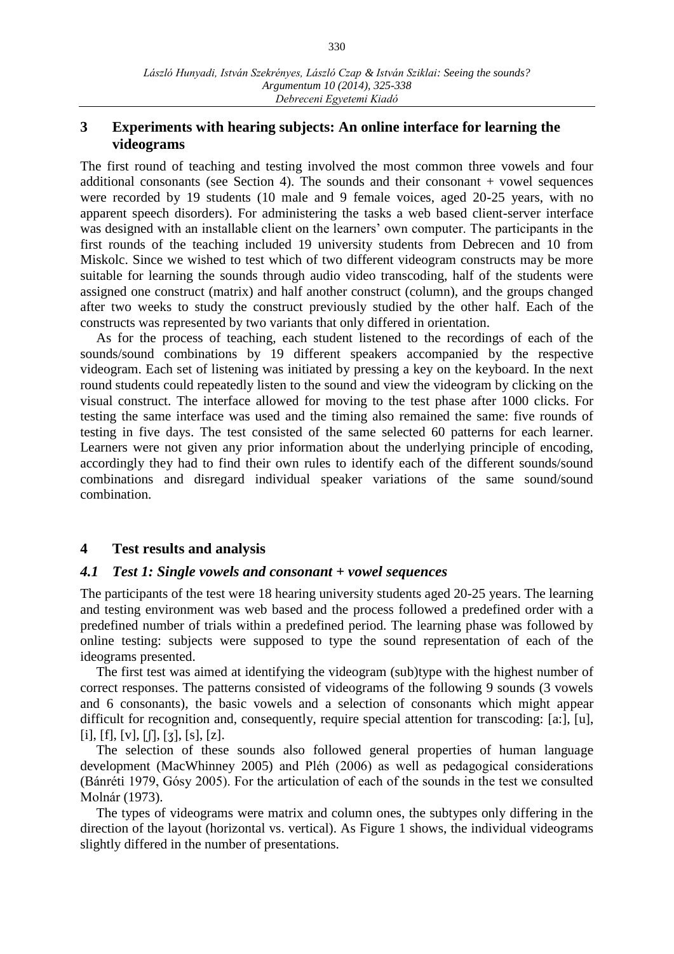# **3 Experiments with hearing subjects: An online interface for learning the videograms**

The first round of teaching and testing involved the most common three vowels and four additional consonants (see Section 4). The sounds and their consonant  $+$  vowel sequences were recorded by 19 students (10 male and 9 female voices, aged 20-25 years, with no apparent speech disorders). For administering the tasks a web based client-server interface was designed with an installable client on the learners' own computer. The participants in the first rounds of the teaching included 19 university students from Debrecen and 10 from Miskolc. Since we wished to test which of two different videogram constructs may be more suitable for learning the sounds through audio video transcoding, half of the students were assigned one construct (matrix) and half another construct (column), and the groups changed after two weeks to study the construct previously studied by the other half. Each of the constructs was represented by two variants that only differed in orientation.

As for the process of teaching, each student listened to the recordings of each of the sounds/sound combinations by 19 different speakers accompanied by the respective videogram. Each set of listening was initiated by pressing a key on the keyboard. In the next round students could repeatedly listen to the sound and view the videogram by clicking on the visual construct. The interface allowed for moving to the test phase after 1000 clicks. For testing the same interface was used and the timing also remained the same: five rounds of testing in five days. The test consisted of the same selected 60 patterns for each learner. Learners were not given any prior information about the underlying principle of encoding, accordingly they had to find their own rules to identify each of the different sounds/sound combinations and disregard individual speaker variations of the same sound/sound combination.

# **4 Test results and analysis**

## *4.1 Test 1: Single vowels and consonant + vowel sequences*

The participants of the test were 18 hearing university students aged 20-25 years. The learning and testing environment was web based and the process followed a predefined order with a predefined number of trials within a predefined period. The learning phase was followed by online testing: subjects were supposed to type the sound representation of each of the ideograms presented.

The first test was aimed at identifying the videogram (sub)type with the highest number of correct responses. The patterns consisted of videograms of the following 9 sounds (3 vowels and 6 consonants), the basic vowels and a selection of consonants which might appear difficult for recognition and, consequently, require special attention for transcoding: [a:], [u],  $[i], [f], [v], [f], [3], [s], [z].$ 

The selection of these sounds also followed general properties of human language development (MacWhinney 2005) and Pléh (2006) as well as pedagogical considerations (Bánréti 1979, Gósy 2005). For the articulation of each of the sounds in the test we consulted Molnár (1973).

The types of videograms were matrix and column ones, the subtypes only differing in the direction of the layout (horizontal vs. vertical). As Figure 1 shows, the individual videograms slightly differed in the number of presentations.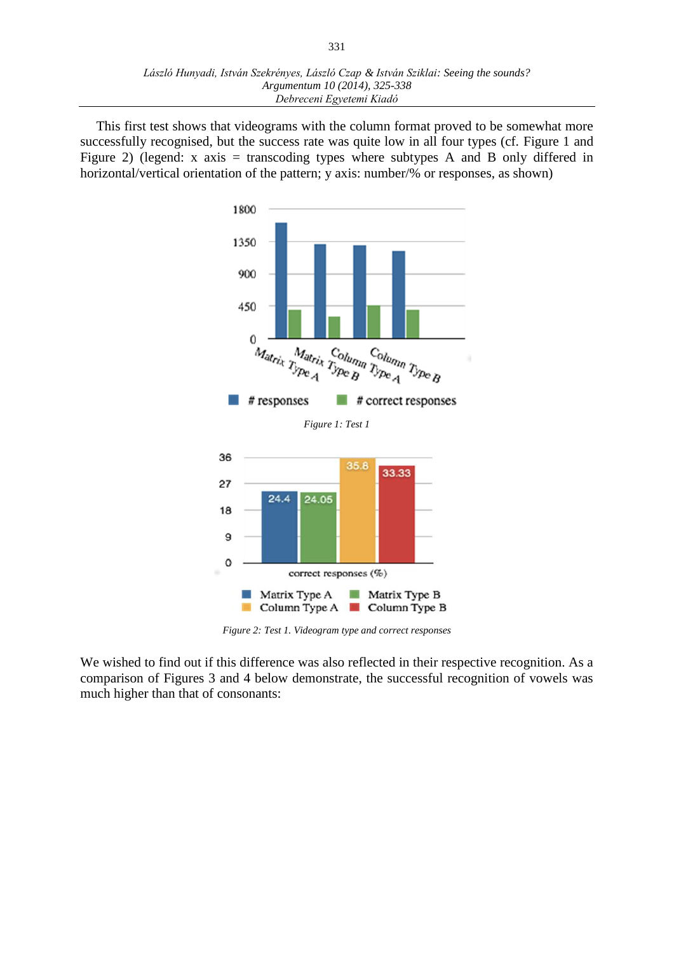This first test shows that videograms with the column format proved to be somewhat more successfully recognised, but the success rate was quite low in all four types (cf. Figure 1 and Figure 2) (legend: x axis = transcoding types where subtypes A and B only differed in horizontal/vertical orientation of the pattern; y axis: number/% or responses, as shown)



*Figure 2: Test 1. Videogram type and correct responses*

We wished to find out if this difference was also reflected in their respective recognition. As a comparison of Figures 3 and 4 below demonstrate, the successful recognition of vowels was much higher than that of consonants: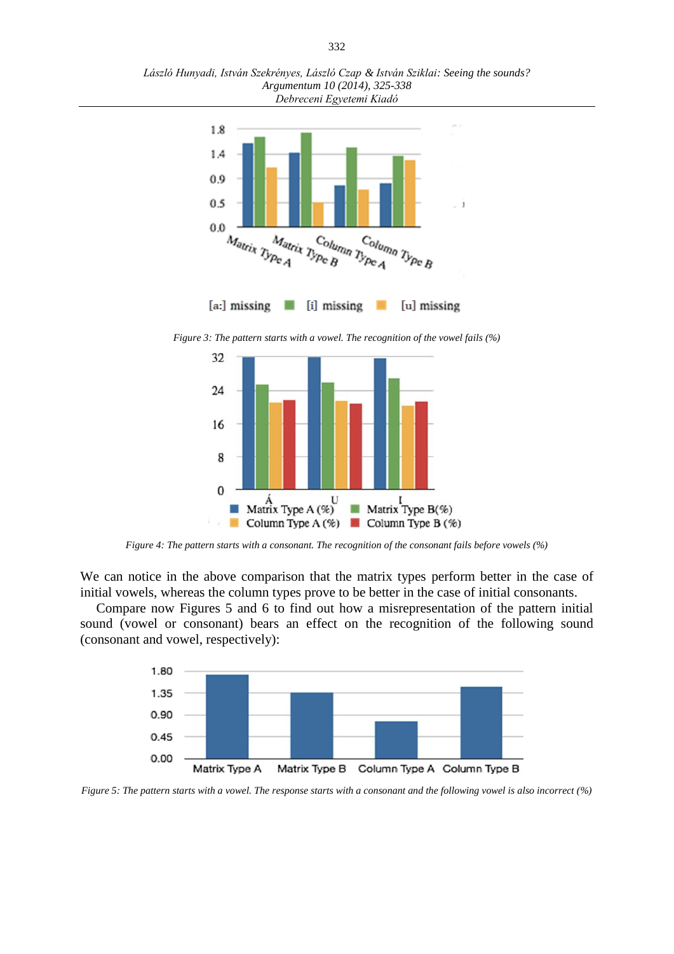*László Hunyadi, István Szekrényes, László Czap & István Sziklai: Seeing the sounds? Argumentum 10 (2014), 325-338 Debreceni Egyetemi Kiadó*



*Figure 3: The pattern starts with a vowel. The recognition of the vowel fails (%)*



*Figure 4: The pattern starts with a consonant. The recognition of the consonant fails before vowels (%)*

We can notice in the above comparison that the matrix types perform better in the case of initial vowels, whereas the column types prove to be better in the case of initial consonants.

Compare now Figures 5 and 6 to find out how a misrepresentation of the pattern initial sound (vowel or consonant) bears an effect on the recognition of the following sound (consonant and vowel, respectively):



*Figure 5: The pattern starts with a vowel. The response starts with a consonant and the following vowel is also incorrect (%)*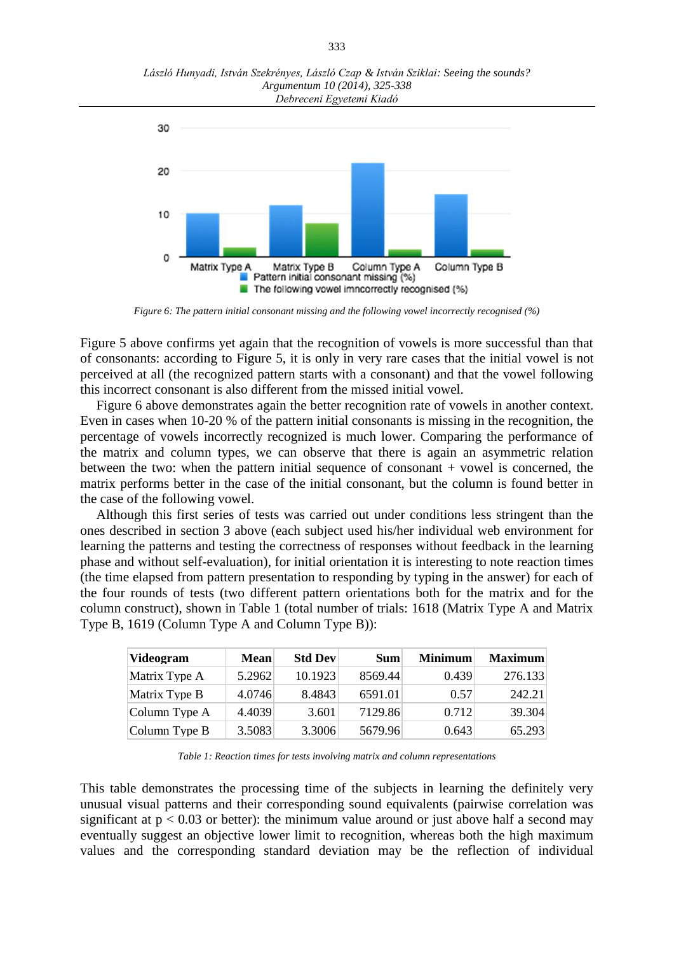*László Hunyadi, István Szekrényes, László Czap & István Sziklai: Seeing the sounds? Argumentum 10 (2014), 325-338 Debreceni Egyetemi Kiadó*



*Figure 6: The pattern initial consonant missing and the following vowel incorrectly recognised (%)*

Figure 5 above confirms yet again that the recognition of vowels is more successful than that of consonants: according to Figure 5, it is only in very rare cases that the initial vowel is not perceived at all (the recognized pattern starts with a consonant) and that the vowel following this incorrect consonant is also different from the missed initial vowel.

Figure 6 above demonstrates again the better recognition rate of vowels in another context. Even in cases when 10-20 % of the pattern initial consonants is missing in the recognition, the percentage of vowels incorrectly recognized is much lower. Comparing the performance of the matrix and column types, we can observe that there is again an asymmetric relation between the two: when the pattern initial sequence of consonant  $+$  vowel is concerned, the matrix performs better in the case of the initial consonant, but the column is found better in the case of the following vowel.

Although this first series of tests was carried out under conditions less stringent than the ones described in section 3 above (each subject used his/her individual web environment for learning the patterns and testing the correctness of responses without feedback in the learning phase and without self-evaluation), for initial orientation it is interesting to note reaction times (the time elapsed from pattern presentation to responding by typing in the answer) for each of the four rounds of tests (two different pattern orientations both for the matrix and for the column construct), shown in Table 1 (total number of trials: 1618 (Matrix Type A and Matrix Type B, 1619 (Column Type A and Column Type B)):

| Videogram       | <b>Mean</b> | <b>Std Dev</b> | <b>Sum</b> | <b>Minimum</b> | <b>Maximum</b> |
|-----------------|-------------|----------------|------------|----------------|----------------|
| Matrix Type A   | 5.2962      | 10.1923        | 8569.44    | 0.439          | 276.133        |
| Matrix Type B   | 4.0746      | 8.4843         | 6591.01    | 0.57           | 242.21         |
| Column Type A   | 4.4039      | 3.601          | 7129.86    | 0.712          | 39.304         |
| Column Type $B$ | 3.5083      | 3.3006         | 5679.96    | 0.643          | 65.293         |

*Table 1: Reaction times for tests involving matrix and column representations*

This table demonstrates the processing time of the subjects in learning the definitely very unusual visual patterns and their corresponding sound equivalents (pairwise correlation was significant at  $p < 0.03$  or better): the minimum value around or just above half a second may eventually suggest an objective lower limit to recognition, whereas both the high maximum values and the corresponding standard deviation may be the reflection of individual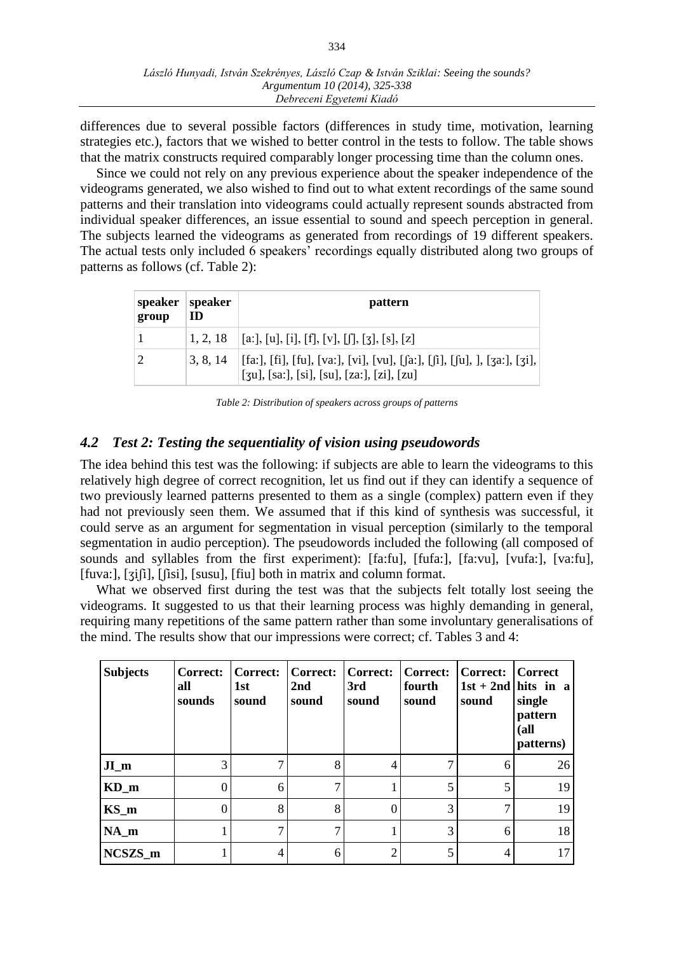differences due to several possible factors (differences in study time, motivation, learning strategies etc.), factors that we wished to better control in the tests to follow. The table shows that the matrix constructs required comparably longer processing time than the column ones.

Since we could not rely on any previous experience about the speaker independence of the videograms generated, we also wished to find out to what extent recordings of the same sound patterns and their translation into videograms could actually represent sounds abstracted from individual speaker differences, an issue essential to sound and speech perception in general. The subjects learned the videograms as generated from recordings of 19 different speakers. The actual tests only included 6 speakers' recordings equally distributed along two groups of patterns as follows (cf. Table 2):

| speaker<br>group | speaker<br>ID | pattern                                                                                                                              |
|------------------|---------------|--------------------------------------------------------------------------------------------------------------------------------------|
|                  |               | $\begin{bmatrix} 1, 2, 18 \end{bmatrix}$ [a:], [u], [i], [f], [v], [f], [3], [s], [z]                                                |
|                  |               | 3, 8, 14   [fa:], [fi], [fu], [va:], [vi], [vu], [fa:], [fi], [fu], ], [za:], [zi],<br>$[3u]$ , [sa:], [si], [su], [za:], [zi], [zu] |

*Table 2: Distribution of speakers across groups of patterns*

# *4.2 Test 2: Testing the sequentiality of vision using pseudowords*

The idea behind this test was the following: if subjects are able to learn the videograms to this relatively high degree of correct recognition, let us find out if they can identify a sequence of two previously learned patterns presented to them as a single (complex) pattern even if they had not previously seen them. We assumed that if this kind of synthesis was successful, it could serve as an argument for segmentation in visual perception (similarly to the temporal segmentation in audio perception). The pseudowords included the following (all composed of sounds and syllables from the first experiment): [fa:fu], [fufa:], [fa:vu], [vufa:], [va:fu], [fuva:], [ʒiʃi], [ʃisi], [susu], [fiu] both in matrix and column format.

What we observed first during the test was that the subjects felt totally lost seeing the videograms. It suggested to us that their learning process was highly demanding in general, requiring many repetitions of the same pattern rather than some involuntary generalisations of the mind. The results show that our impressions were correct; cf. Tables 3 and 4:

| <b>Subjects</b> | Correct:<br>all<br>sounds | <b>Correct:</b><br>1st<br>sound | Correct:<br>2nd<br>sound | Correct:<br>3rd<br>sound | Correct:  <br>fourth<br>sound | <b>Correct:</b><br>sound | Correct<br>$1st + 2nd$ hits in a<br>single<br>pattern<br>(all<br>patterns) |
|-----------------|---------------------------|---------------------------------|--------------------------|--------------------------|-------------------------------|--------------------------|----------------------------------------------------------------------------|
| $JI$ m          | 3                         |                                 | 8                        | 4                        |                               | 6                        | 26                                                                         |
| $KD_m$          | $\Omega$                  | 6                               |                          |                          | 5                             | 5                        | 19                                                                         |
| $KS_m$          | $\Omega$                  | 8                               | 8                        | 0                        | 3                             | 7                        | 19                                                                         |
| $NA_m$          |                           |                                 |                          |                          | 3                             | 6                        | 18                                                                         |
| NCSZS_m         |                           |                                 | 6                        | ി                        |                               | 4                        | 17                                                                         |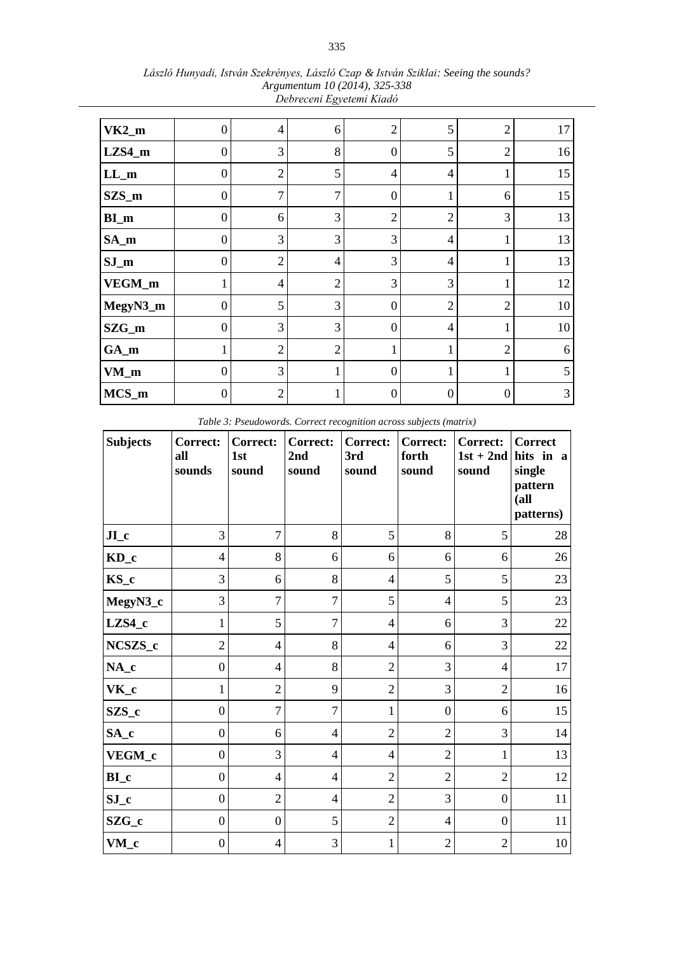| $VK2_m$  | 0                | $\overline{4}$ | 6              | $\overline{2}$   | 5                | $\overline{2}$   | 17 |
|----------|------------------|----------------|----------------|------------------|------------------|------------------|----|
| LZS4_m   | 0                | 3              | 8              | $\boldsymbol{0}$ | 5                | $\overline{2}$   | 16 |
| $LL_m$   | $\boldsymbol{0}$ | $\overline{2}$ | 5              | $\overline{4}$   | 4                | $\mathbf{1}$     | 15 |
| $SZS_m$  | $\theta$         | $\overline{7}$ | 7              | $\boldsymbol{0}$ |                  | 6                | 15 |
| $BI_m$   | 0                | 6              | 3              | $\overline{2}$   | $\overline{2}$   | 3                | 13 |
| $SA_m$   | $\boldsymbol{0}$ | 3              | 3              | 3                | 4                | $\mathbf{1}$     | 13 |
| $SJ_m$   | $\boldsymbol{0}$ | $\overline{2}$ | $\overline{4}$ | 3                | 4                | T                | 13 |
| VEGM_m   |                  | 4              | $\overline{2}$ | $\mathfrak{Z}$   | 3                | 1                | 12 |
| MegyN3_m | $\boldsymbol{0}$ | 5              | 3              | $\boldsymbol{0}$ | $\overline{2}$   | $\sqrt{2}$       | 10 |
| $SZG_m$  | $\theta$         | 3              | 3              | $\boldsymbol{0}$ | 4                | $\mathbf{1}$     | 10 |
| $GA_m$   |                  | $\overline{2}$ | $\overline{2}$ | 1                |                  | $\overline{2}$   | 6  |
| $VM_m$   | $\overline{0}$   | 3              |                | $\overline{0}$   | 1                | $\mathbf{1}$     | 5  |
| $MCS_m$  | 0                | $\mathbf{2}$   |                | $\boldsymbol{0}$ | $\left( \right)$ | $\boldsymbol{0}$ | 3  |

*László Hunyadi, István Szekrényes, László Czap & István Sziklai: Seeing the sounds? Argumentum 10 (2014), 325-338 Debreceni Egyetemi Kiadó*

*Table 3: Pseudowords. Correct recognition across subjects (matrix)*

| <b>Subjects</b> | Correct:<br>all<br>sounds | <b>Correct:</b><br>1st<br>sound | <b>Correct:</b><br>2nd<br>sound | Correct:<br>3rd<br>sound | Correct:<br>forth<br>sound | Correct:<br>$1st + 2nd$<br>sound | <b>Correct</b><br>hits in a<br>single<br>pattern<br>(a <sub>ll</sub> )<br>patterns) |
|-----------------|---------------------------|---------------------------------|---------------------------------|--------------------------|----------------------------|----------------------------------|-------------------------------------------------------------------------------------|
| J <sub>L</sub>  | 3                         | $\overline{7}$                  | 8                               | 5                        | 8                          | 5                                | 28                                                                                  |
| $KD_c$          | $\overline{4}$            | 8                               | 6                               | 6                        | 6                          | 6                                | 26                                                                                  |
| KS_c            | 3                         | 6                               | 8                               | $\overline{4}$           | 5                          | 5                                | 23                                                                                  |
| MegyN3_c        | 3                         | $\overline{7}$                  | $\overline{7}$                  | 5                        | $\overline{4}$             | 5                                | 23                                                                                  |
| $LZS4_c$        | $\mathbf{1}$              | 5                               | $\overline{7}$                  | $\overline{4}$           | 6                          | 3                                | 22                                                                                  |
| NCSZS_c         | $\overline{2}$            | $\overline{4}$                  | 8                               | $\overline{4}$           | 6                          | 3                                | 22                                                                                  |
| $NA_c$          | $\boldsymbol{0}$          | $\overline{4}$                  | 8                               | $\overline{2}$           | 3                          | 4                                | 17                                                                                  |
| $VK_c$          | $\mathbf{1}$              | $\overline{2}$                  | 9                               | $\overline{2}$           | 3                          | $\overline{2}$                   | 16                                                                                  |
| SZS_c           | $\boldsymbol{0}$          | $\tau$                          | $\overline{7}$                  | 1                        | $\boldsymbol{0}$           | 6                                | 15                                                                                  |
| SA_c            | $\boldsymbol{0}$          | 6                               | $\overline{4}$                  | $\overline{2}$           | $\overline{2}$             | 3                                | 14                                                                                  |
| VEGM_c          | $\boldsymbol{0}$          | 3                               | $\overline{4}$                  | $\overline{4}$           | $\overline{2}$             | 1                                | 13                                                                                  |
| $BI_c$          | $\mathbf{0}$              | $\overline{4}$                  | $\overline{4}$                  | $\mathfrak{2}$           | $\overline{2}$             | $\overline{2}$                   | 12                                                                                  |
| $SJ_c$          | $\mathbf{0}$              | $\sqrt{2}$                      | $\overline{4}$                  | $\sqrt{2}$               | 3                          | $\boldsymbol{0}$                 | 11                                                                                  |
| SZG_c           | $\mathbf{0}$              | $\boldsymbol{0}$                | 5                               | $\sqrt{2}$               | $\overline{4}$             | $\mathbf{0}$                     | 11                                                                                  |
| VM_c            | $\boldsymbol{0}$          | $\overline{4}$                  | 3                               | $\mathbf{1}$             | $\sqrt{2}$                 | $\overline{c}$                   | 10                                                                                  |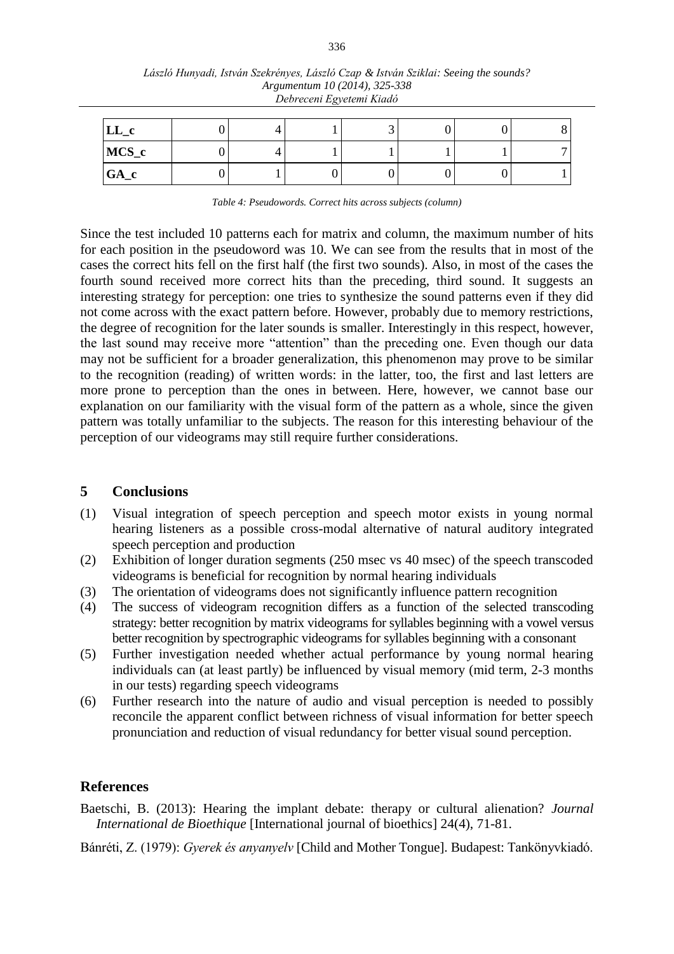| $LL_c$ |  |  |  |  |
|--------|--|--|--|--|
| MCS_c  |  |  |  |  |
| $GA_c$ |  |  |  |  |

| László Hunyadi, István Szekrényes, László Czap & István Sziklai: Seeing the sounds? |
|-------------------------------------------------------------------------------------|
| Argumentum 10 (2014), 325-338                                                       |
| Debreceni Egyetemi Kiadó                                                            |

*Table 4: Pseudowords. Correct hits across subjects (column)*

Since the test included 10 patterns each for matrix and column, the maximum number of hits for each position in the pseudoword was 10. We can see from the results that in most of the cases the correct hits fell on the first half (the first two sounds). Also, in most of the cases the fourth sound received more correct hits than the preceding, third sound. It suggests an interesting strategy for perception: one tries to synthesize the sound patterns even if they did not come across with the exact pattern before. However, probably due to memory restrictions, the degree of recognition for the later sounds is smaller. Interestingly in this respect, however, the last sound may receive more "attention" than the preceding one. Even though our data may not be sufficient for a broader generalization, this phenomenon may prove to be similar to the recognition (reading) of written words: in the latter, too, the first and last letters are more prone to perception than the ones in between. Here, however, we cannot base our explanation on our familiarity with the visual form of the pattern as a whole, since the given pattern was totally unfamiliar to the subjects. The reason for this interesting behaviour of the perception of our videograms may still require further considerations.

## **5 Conclusions**

- (1) Visual integration of speech perception and speech motor exists in young normal hearing listeners as a possible cross-modal alternative of natural auditory integrated speech perception and production
- (2) Exhibition of longer duration segments (250 msec vs 40 msec) of the speech transcoded videograms is beneficial for recognition by normal hearing individuals
- (3) The orientation of videograms does not significantly influence pattern recognition
- (4) The success of videogram recognition differs as a function of the selected transcoding strategy: better recognition by matrix videograms for syllables beginning with a vowel versus better recognition by spectrographic videograms for syllables beginning with a consonant
- (5) Further investigation needed whether actual performance by young normal hearing individuals can (at least partly) be influenced by visual memory (mid term, 2-3 months in our tests) regarding speech videograms
- (6) Further research into the nature of audio and visual perception is needed to possibly reconcile the apparent conflict between richness of visual information for better speech pronunciation and reduction of visual redundancy for better visual sound perception.

## **References**

Baetschi, B. (2013): Hearing the implant debate: therapy or cultural alienation? *Journal International de Bioethique* [International journal of bioethics] 24(4), 71-81.

Bánréti, Z. (1979): *Gyerek és anyanyelv* [Child and Mother Tongue]. Budapest: Tankönyvkiadó.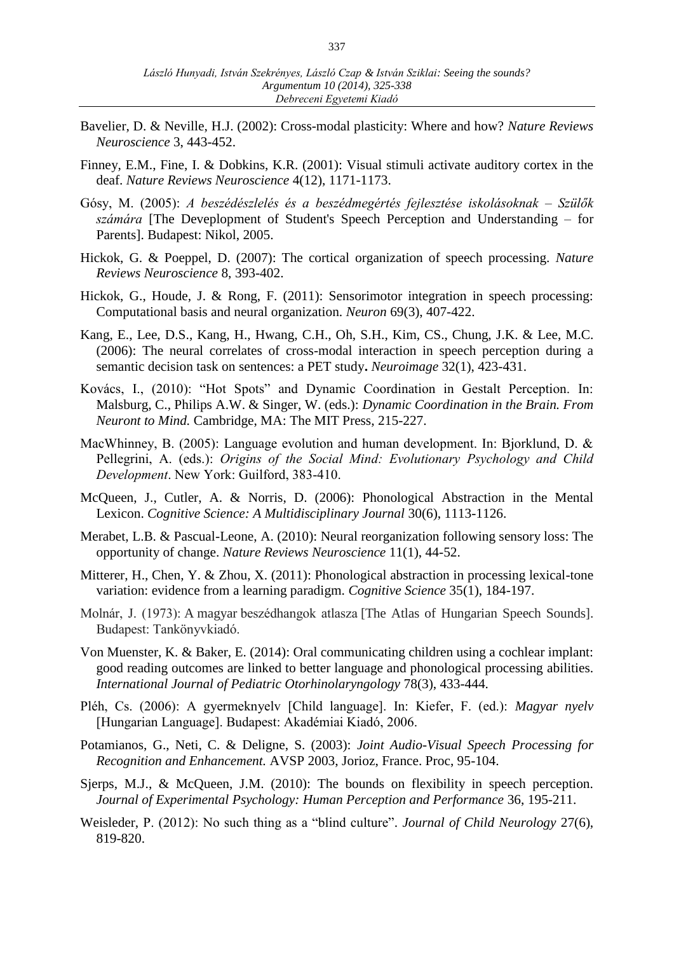- Bavelier, D. & Neville, H.J. (2002): Cross-modal plasticity: Where and how? *Nature Reviews Neuroscience* 3, 443-452.
- Finney, E.M., Fine, I. & Dobkins, K.R. (2001): Visual stimuli activate auditory cortex in the deaf. *Nature Reviews Neuroscience* 4(12), 1171-1173.
- Gósy, M. (2005): *A beszédészlelés és a beszédmegértés fejlesztése iskolásoknak – Szülők számára* [The Deveplopment of Student's Speech Perception and Understanding – for Parents]. Budapest: Nikol, 2005.
- Hickok, G. & Poeppel, D. (2007): The cortical organization of speech processing. *Nature Reviews Neuroscience* 8, 393-402.
- Hickok, G., Houde, J. & Rong, F. (2011): Sensorimotor integration in speech processing: Computational basis and neural organization. *Neuron* 69(3), 407-422.
- Kang, E., Lee, D.S., Kang, H., Hwang, C.H., Oh, S.H., Kim, CS., Chung, J.K. & Lee, M.C. (2006): The neural correlates of cross-modal interaction in speech perception during a semantic decision task on sentences: a PET study**.** *Neuroimage* 32(1), 423-431.
- Kovács, I., (2010): "Hot Spots" and Dynamic Coordination in Gestalt Perception. In: Malsburg, C., Philips A.W. & Singer, W. (eds.): *Dynamic Coordination in the Brain. From Neuront to Mind.* Cambridge, MA: The MIT Press, 215-227.
- MacWhinney, B. (2005): Language evolution and human development. In: Bjorklund, D. & Pellegrini, A. (eds.): *Origins of the Social Mind: Evolutionary Psychology and Child Development*. New York: Guilford, 383-410.
- McQueen, J., Cutler, A. & Norris, D. (2006): Phonological Abstraction in the Mental Lexicon. *Cognitive Science: A Multidisciplinary Journal* 30(6), 1113-1126.
- Merabet, L.B. & Pascual-Leone, A. (2010): Neural reorganization following sensory loss: The opportunity of change. *Nature Reviews Neuroscience* 11(1), 44-52.
- Mitterer, H., Chen, Y. & Zhou, X. (2011): Phonological abstraction in processing lexical-tone variation: evidence from a learning paradigm. *Cognitive Science* 35(1), 184-197.
- Molnár, J. (1973): A magyar beszédhangok atlasza [The Atlas of Hungarian Speech Sounds]. Budapest: Tankönyvkiadó.
- Von Muenster, K. & Baker, E. (2014): Oral communicating children using a cochlear implant: good reading outcomes are linked to better language and phonological processing abilities. *International Journal of Pediatric Otorhinolaryngology* 78(3), 433-444.
- Pléh, Cs. (2006): A gyermeknyelv [Child language]. In: Kiefer, F. (ed.): *Magyar nyelv* [Hungarian Language]. Budapest: Akadémiai Kiadó, 2006.
- Potamianos, G., Neti, C. & Deligne, S. (2003): *Joint Audio-Visual Speech Processing for Recognition and Enhancement.* AVSP 2003, Jorioz, France. Proc, 95-104.
- Sjerps, M.J., & McQueen, J.M. (2010): The bounds on flexibility in speech perception. *Journal of Experimental Psychology: Human Perception and Performance* 36, 195-211.
- Weisleder, P. (2012): No such thing as a "blind culture". *Journal of Child Neurology* 27(6), 819-820.